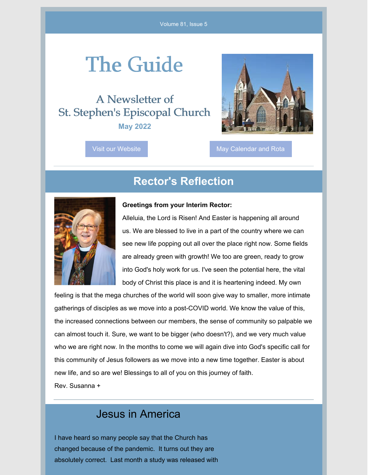# The Guide

A Newsletter of St. Stephen's Episcopal Church **May 2022**

Visit our [Website](http://www.ststephengi.org) May [Calendar](https://files.constantcontact.com/ca49f37a701/e3efb881-c717-4e1e-a8fb-9e821ca0a1ad.pdf) and Rota

### **Rector's Reflection**



#### **Greetings from your Interim Rector:**

Alleluia, the Lord is Risen! And Easter is happening all around us. We are blessed to live in a part of the country where we can see new life popping out all over the place right now. Some fields are already green with growth! We too are green, ready to grow into God's holy work for us. I've seen the potential here, the vital body of Christ this place is and it is heartening indeed. My own

feeling is that the mega churches of the world will soon give way to smaller, more intimate gatherings of disciples as we move into a post-COVID world. We know the value of this, the increased connections between our members, the sense of community so palpable we can almost touch it. Sure, we want to be bigger (who doesn't?), and we very much value who we are right now. In the months to come we will again dive into God's specific call for this community of Jesus followers as we move into a new time together. Easter is about new life, and so are we! Blessings to all of you on this journey of faith. Rev. Susanna +

### Jesus in America

I have heard so many people say that the Church has changed because of the pandemic. It turns out they are absolutely correct. Last month a study was released with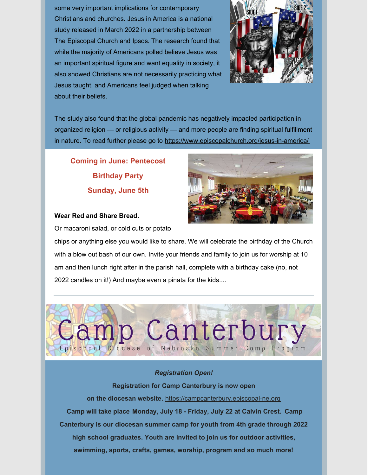some very important implications for contemporary Christians and churches. Jesus in America is a national study released in March 2022 in a partnership between The Episcopal Church and **[Ipsos](https://www.ipsos.com/en)**. The research found that while the majority of Americans polled believe Jesus was an important spiritual figure and want equality in society, it also showed Christians are not necessarily practicing what Jesus taught, and Americans feel judged when talking about their beliefs.



The study also found that the global pandemic has negatively impacted participation in organized religion — or religious activity — and more people are finding spiritual fulfillment in nature. To read further please go to <https://www.episcopalchurch.org/jesus-in-america/>

**Coming in June: Pentecost Birthday Party Sunday, June 5th**

#### **Wear Red and Share Bread.**



Or macaroni salad, or cold cuts or potato

chips or anything else you would like to share. We will celebrate the birthday of the Church with a blow out bash of our own. Invite your friends and family to join us for worship at 10 am and then lunch right after in the parish hall, complete with a birthday cake (no, not 2022 candles on it!) And maybe even a pinata for the kids....



#### *Registration Open!*

**Registration for Camp Canterbury is now open on the [diocesan](https://campcanterbury.episcopal-ne.org/) website.** [https://campcanterbury.episcopal-ne.org](https://campcanterbury.episcopal-ne.org/) **Camp will take place Monday, July 18 - Friday, July 22 at Calvin Crest. Camp Canterbury is our diocesan summer camp for youth from 4th grade through 2022 high school graduates. Youth are invited to join us for outdoor activities, swimming, sports, crafts, games, worship, program and so much more!**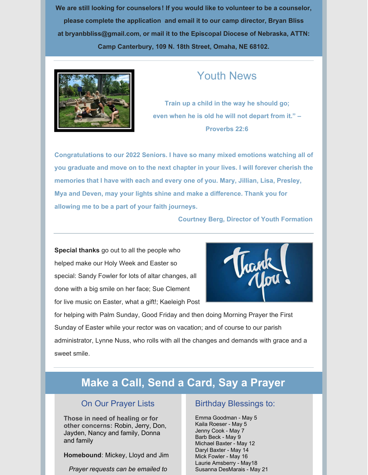**We are still looking for counselors! If you would like to volunteer to be a counselor, please complete the [application](https://files.constantcontact.com/a09bbcdc001/f3d6bc45-50af-43e4-96c9-f5b862df94f8.pdf) and email it to our camp director, Bryan Bliss at [bryanbbliss@gmail.com](mailto:bryanbbliss@gmail.com), or mail it to the Episcopal Diocese of Nebraska, ATTN: Camp Canterbury, 109 N. 18th Street, Omaha, NE 68102.**



### Youth News

**Train up a child in the way he should go; even when he is old he will not depart from it." – Proverbs 22:6**

**Congratulations to our 2022 Seniors. I have so many mixed emotions watching all of you graduate and move on to the next chapter in your lives. I will forever cherish the memories that I have with each and every one of you. Mary, Jillian, Lisa, Presley, Mya and Deven, may your lights shine and make a difference. Thank you for allowing me to be a part of your faith journeys.**

#### **Courtney Berg, Director of Youth Formation**

**Special thanks** go out to all the people who helped make our Holy Week and Easter so special: Sandy Fowler for lots of altar changes, all done with a big smile on her face; Sue Clement for live music on Easter, what a gift!; Kaeleigh Post



for helping with Palm Sunday, Good Friday and then doing Morning Prayer the First Sunday of Easter while your rector was on vacation; and of course to our parish administrator, Lynne Nuss, who rolls with all the changes and demands with grace and a sweet smile.

## **Make a Call, Send a Card, Say a Prayer**

### On Our Prayer Lists

**Those in need of healing or for other concerns:** Robin, Jerry, Don, Jayden, Nancy and family, Donna and family

**Homebound**: Mickey, Lloyd and Jim

*Prayer requests can be emailed to*

#### Birthday Blessings to:

Emma Goodman - May 5 Kaila Roeser - May 5 Jenny Cook - May 7 Barb Beck - May 9 Michael Baxter - May 12 Daryl Baxter - May 14 Mick Fowler - May 16 Laurie Amsberry - May18 Susanna DesMarais - May 21